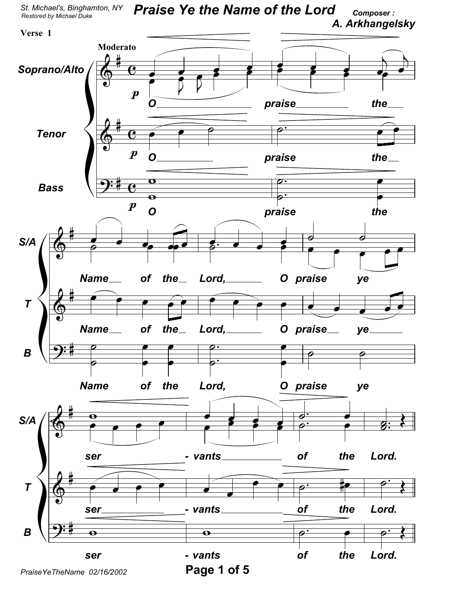

PraiseYeTheName 02/16/2002

Page 1 of 5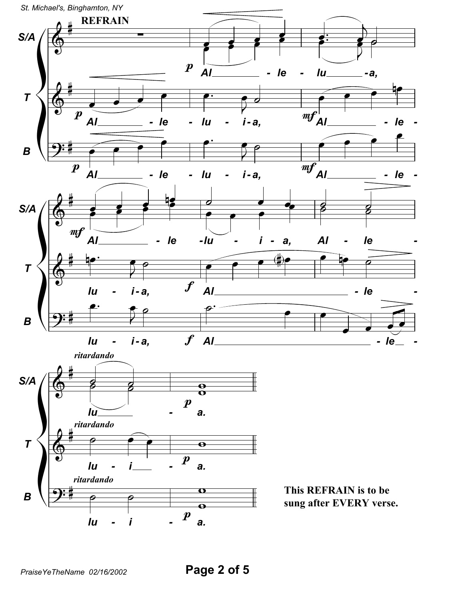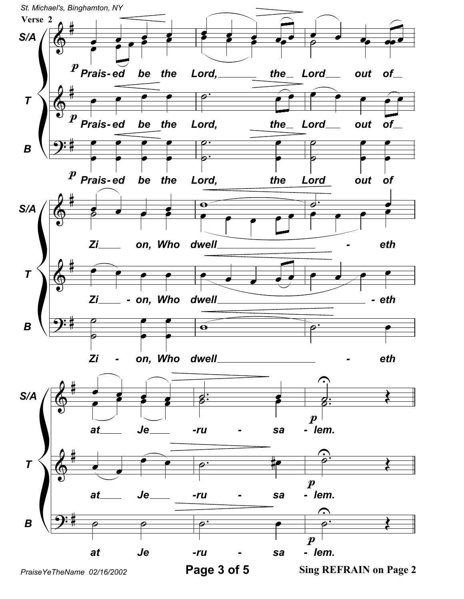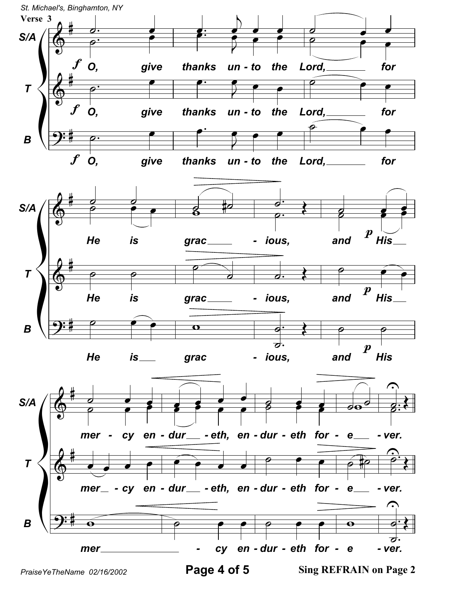